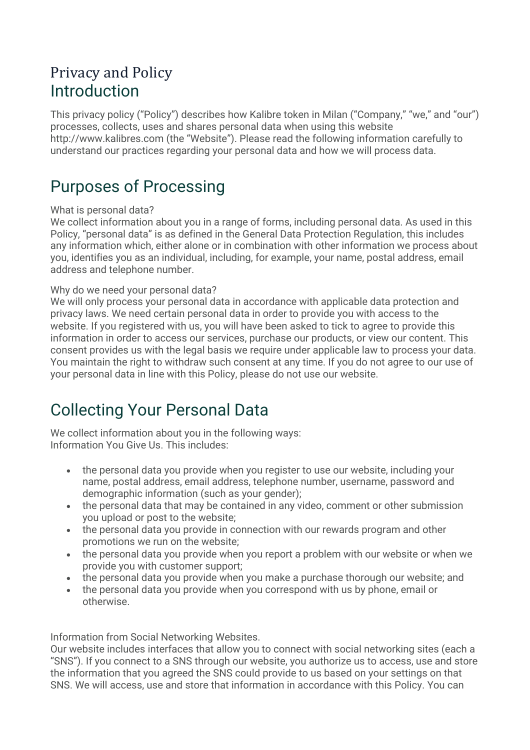### Privacy and Policy Introduction

This privacy policy ("Policy") describes how Kalibre token in Milan ("Company," "we," and "our") processes, collects, uses and shares personal data when using this website http://www.kalibres.com (the "Website"). Please read the following information carefully to understand our practices regarding your personal data and how we will process data.

## Purposes of Processing

### What is personal data?

We collect information about you in a range of forms, including personal data. As used in this Policy, "personal data" is as defined in the General Data Protection Regulation, this includes any information which, either alone or in combination with other information we process about you, identifies you as an individual, including, for example, your name, postal address, email address and telephone number.

### Why do we need your personal data?

We will only process your personal data in accordance with applicable data protection and privacy laws. We need certain personal data in order to provide you with access to the website. If you registered with us, you will have been asked to tick to agree to provide this information in order to access our services, purchase our products, or view our content. This consent provides us with the legal basis we require under applicable law to process your data. You maintain the right to withdraw such consent at any time. If you do not agree to our use of your personal data in line with this Policy, please do not use our website.

# Collecting Your Personal Data

We collect information about you in the following ways: Information You Give Us. This includes:

- the personal data you provide when you register to use our website, including your name, postal address, email address, telephone number, username, password and demographic information (such as your gender);
- the personal data that may be contained in any video, comment or other submission you upload or post to the website;
- the personal data you provide in connection with our rewards program and other promotions we run on the website;
- the personal data you provide when you report a problem with our website or when we provide you with customer support;
- the personal data you provide when you make a purchase thorough our website; and
- the personal data you provide when you correspond with us by phone, email or otherwise.

Information from Social Networking Websites.

Our website includes interfaces that allow you to connect with social networking sites (each a "SNS"). If you connect to a SNS through our website, you authorize us to access, use and store the information that you agreed the SNS could provide to us based on your settings on that SNS. We will access, use and store that information in accordance with this Policy. You can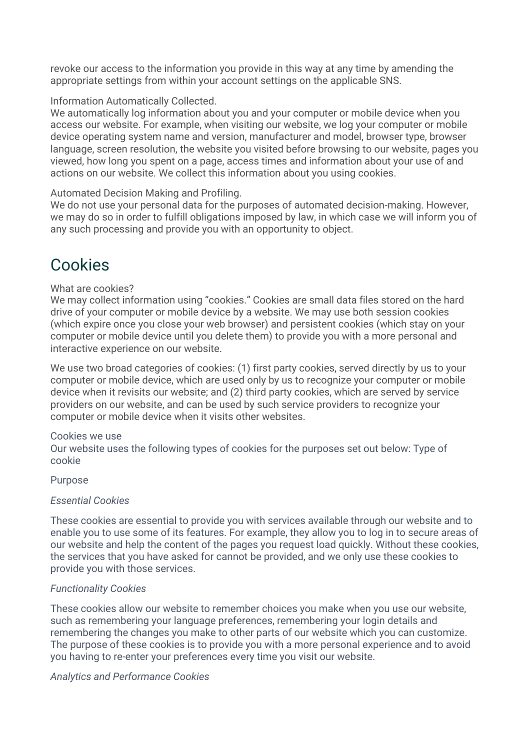revoke our access to the information you provide in this way at any time by amending the appropriate settings from within your account settings on the applicable SNS.

### Information Automatically Collected.

We automatically log information about you and your computer or mobile device when you access our website. For example, when visiting our website, we log your computer or mobile device operating system name and version, manufacturer and model, browser type, browser language, screen resolution, the website you visited before browsing to our website, pages you viewed, how long you spent on a page, access times and information about your use of and actions on our website. We collect this information about you using cookies.

#### Automated Decision Making and Profiling.

We do not use your personal data for the purposes of automated decision-making. However, we may do so in order to fulfill obligations imposed by law, in which case we will inform you of any such processing and provide you with an opportunity to object.

## Cookies

#### What are cookies?

We may collect information using "cookies." Cookies are small data files stored on the hard drive of your computer or mobile device by a website. We may use both session cookies (which expire once you close your web browser) and persistent cookies (which stay on your computer or mobile device until you delete them) to provide you with a more personal and interactive experience on our website.

We use two broad categories of cookies: (1) first party cookies, served directly by us to your computer or mobile device, which are used only by us to recognize your computer or mobile device when it revisits our website; and (2) third party cookies, which are served by service providers on our website, and can be used by such service providers to recognize your computer or mobile device when it visits other websites.

#### Cookies we use

Our website uses the following types of cookies for the purposes set out below: Type of cookie

#### Purpose

#### *Essential Cookies*

These cookies are essential to provide you with services available through our website and to enable you to use some of its features. For example, they allow you to log in to secure areas of our website and help the content of the pages you request load quickly. Without these cookies, the services that you have asked for cannot be provided, and we only use these cookies to provide you with those services.

### *Functionality Cookies*

These cookies allow our website to remember choices you make when you use our website, such as remembering your language preferences, remembering your login details and remembering the changes you make to other parts of our website which you can customize. The purpose of these cookies is to provide you with a more personal experience and to avoid you having to re-enter your preferences every time you visit our website.

#### *Analytics and Performance Cookies*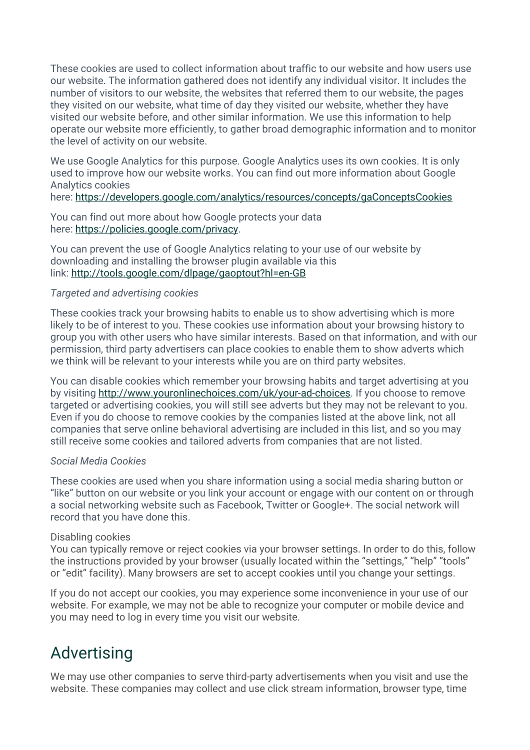These cookies are used to collect information about traffic to our website and how users use our website. The information gathered does not identify any individual visitor. It includes the number of visitors to our website, the websites that referred them to our website, the pages they visited on our website, what time of day they visited our website, whether they have visited our website before, and other similar information. We use this information to help operate our website more efficiently, to gather broad demographic information and to monitor the level of activity on our website.

We use Google Analytics for this purpose. Google Analytics uses its own cookies. It is only used to improve how our website works. You can find out more information about Google Analytics cookies

here: https://developers.google.com/analytics/resources/concepts/gaConceptsCookies

You can find out more about how Google protects your data here: https://policies.google.com/privacy.

You can prevent the use of Google Analytics relating to your use of our website by downloading and installing the browser plugin available via this link: http://tools.google.com/dlpage/gaoptout?hl=en-GB

### *Targeted and advertising cookies*

These cookies track your browsing habits to enable us to show advertising which is more likely to be of interest to you. These cookies use information about your browsing history to group you with other users who have similar interests. Based on that information, and with our permission, third party advertisers can place cookies to enable them to show adverts which we think will be relevant to your interests while you are on third party websites.

You can disable cookies which remember your browsing habits and target advertising at you by visiting http://www.youronlinechoices.com/uk/your-ad-choices. If you choose to remove targeted or advertising cookies, you will still see adverts but they may not be relevant to you. Even if you do choose to remove cookies by the companies listed at the above link, not all companies that serve online behavioral advertising are included in this list, and so you may still receive some cookies and tailored adverts from companies that are not listed.

### *Social Media Cookies*

These cookies are used when you share information using a social media sharing button or "like" button on our website or you link your account or engage with our content on or through a social networking website such as Facebook, Twitter or Google+. The social network will record that you have done this.

### Disabling cookies

You can typically remove or reject cookies via your browser settings. In order to do this, follow the instructions provided by your browser (usually located within the "settings," "help" "tools" or "edit" facility). Many browsers are set to accept cookies until you change your settings.

If you do not accept our cookies, you may experience some inconvenience in your use of our website. For example, we may not be able to recognize your computer or mobile device and you may need to log in every time you visit our website.

# Advertising

We may use other companies to serve third-party advertisements when you visit and use the website. These companies may collect and use click stream information, browser type, time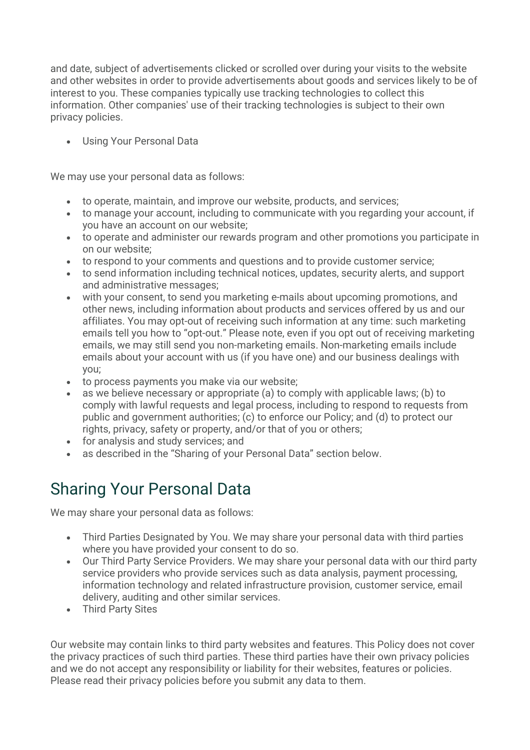and date, subject of advertisements clicked or scrolled over during your visits to the website and other websites in order to provide advertisements about goods and services likely to be of interest to you. These companies typically use tracking technologies to collect this information. Other companies' use of their tracking technologies is subject to their own privacy policies.

• Using Your Personal Data

We may use your personal data as follows:

- to operate, maintain, and improve our website, products, and services;
- to manage your account, including to communicate with you regarding your account, if you have an account on our website;
- to operate and administer our rewards program and other promotions you participate in on our website;
- to respond to your comments and questions and to provide customer service;
- to send information including technical notices, updates, security alerts, and support and administrative messages;
- with your consent, to send you marketing e-mails about upcoming promotions, and other news, including information about products and services offered by us and our affiliates. You may opt-out of receiving such information at any time: such marketing emails tell you how to "opt-out." Please note, even if you opt out of receiving marketing emails, we may still send you non-marketing emails. Non-marketing emails include emails about your account with us (if you have one) and our business dealings with you;
- to process payments you make via our website;
- as we believe necessary or appropriate (a) to comply with applicable laws; (b) to comply with lawful requests and legal process, including to respond to requests from public and government authorities; (c) to enforce our Policy; and (d) to protect our rights, privacy, safety or property, and/or that of you or others;
- for analysis and study services; and
- as described in the "Sharing of your Personal Data" section below.

# Sharing Your Personal Data

We may share your personal data as follows:

- Third Parties Designated by You. We may share your personal data with third parties where you have provided your consent to do so.
- Our Third Party Service Providers. We may share your personal data with our third party service providers who provide services such as data analysis, payment processing, information technology and related infrastructure provision, customer service, email delivery, auditing and other similar services.
- Third Party Sites

Our website may contain links to third party websites and features. This Policy does not cover the privacy practices of such third parties. These third parties have their own privacy policies and we do not accept any responsibility or liability for their websites, features or policies. Please read their privacy policies before you submit any data to them.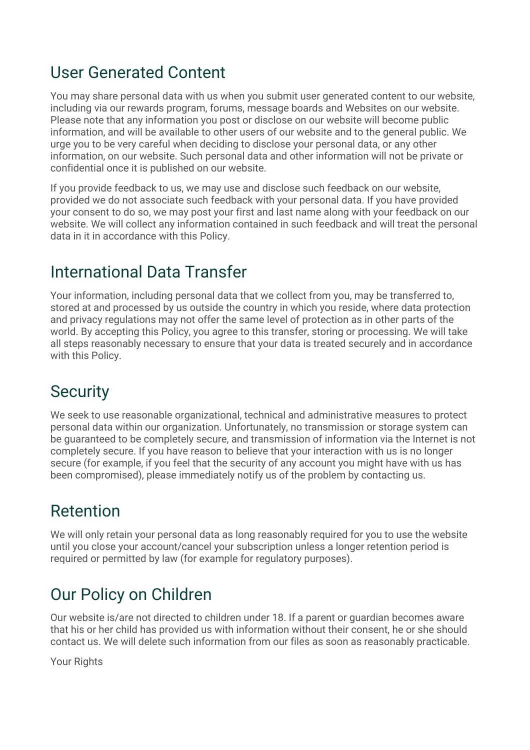## User Generated Content

You may share personal data with us when you submit user generated content to our website, including via our rewards program, forums, message boards and Websites on our website. Please note that any information you post or disclose on our website will become public information, and will be available to other users of our website and to the general public. We urge you to be very careful when deciding to disclose your personal data, or any other information, on our website. Such personal data and other information will not be private or confidential once it is published on our website.

If you provide feedback to us, we may use and disclose such feedback on our website, provided we do not associate such feedback with your personal data. If you have provided your consent to do so, we may post your first and last name along with your feedback on our website. We will collect any information contained in such feedback and will treat the personal data in it in accordance with this Policy.

## International Data Transfer

Your information, including personal data that we collect from you, may be transferred to, stored at and processed by us outside the country in which you reside, where data protection and privacy regulations may not offer the same level of protection as in other parts of the world. By accepting this Policy, you agree to this transfer, storing or processing. We will take all steps reasonably necessary to ensure that your data is treated securely and in accordance with this Policy.

# **Security**

We seek to use reasonable organizational, technical and administrative measures to protect personal data within our organization. Unfortunately, no transmission or storage system can be guaranteed to be completely secure, and transmission of information via the Internet is not completely secure. If you have reason to believe that your interaction with us is no longer secure (for example, if you feel that the security of any account you might have with us has been compromised), please immediately notify us of the problem by contacting us.

# Retention

We will only retain your personal data as long reasonably required for you to use the website until you close your account/cancel your subscription unless a longer retention period is required or permitted by law (for example for regulatory purposes).

# Our Policy on Children

Our website is/are not directed to children under 18. If a parent or guardian becomes aware that his or her child has provided us with information without their consent, he or she should contact us. We will delete such information from our files as soon as reasonably practicable.

Your Rights